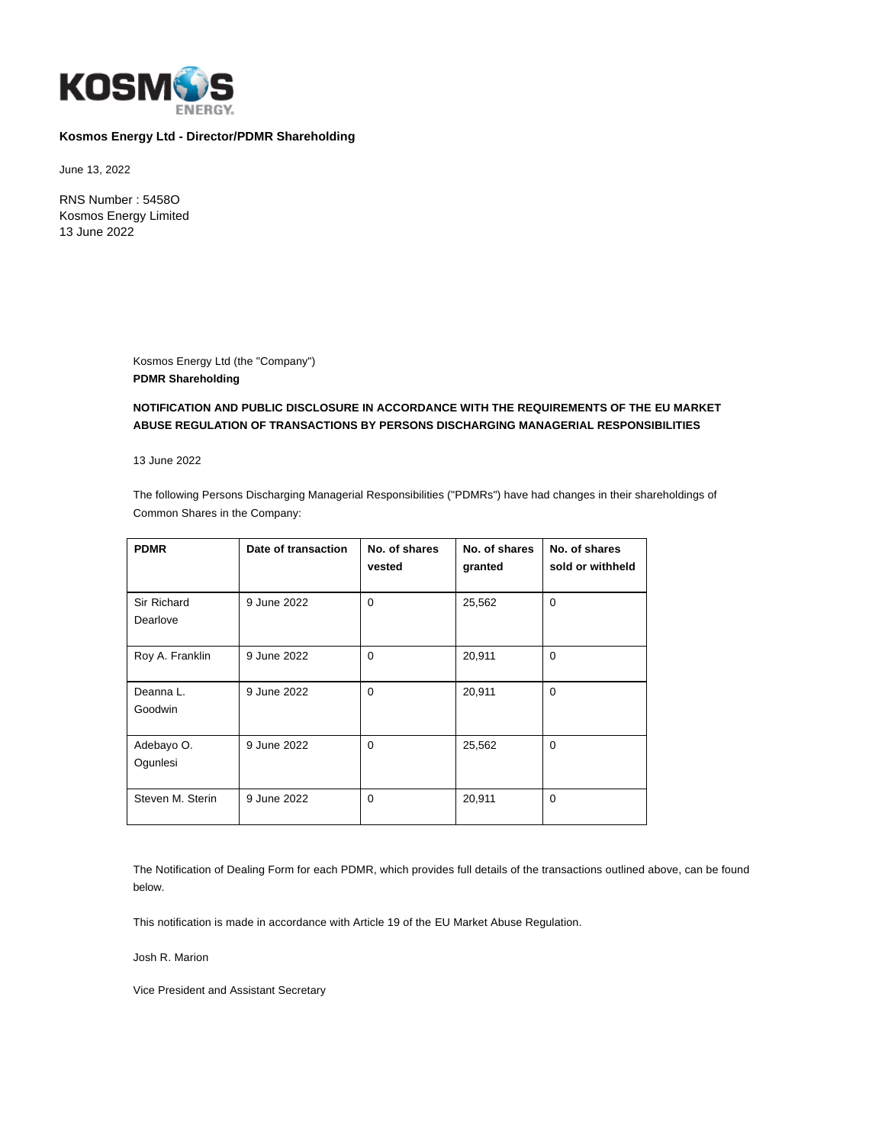

# **Kosmos Energy Ltd - Director/PDMR Shareholding**

June 13, 2022

RNS Number : 5458O Kosmos Energy Limited 13 June 2022

> Kosmos Energy Ltd (the "Company") **PDMR Shareholding**

## **NOTIFICATION AND PUBLIC DISCLOSURE IN ACCORDANCE WITH THE REQUIREMENTS OF THE EU MARKET ABUSE REGULATION OF TRANSACTIONS BY PERSONS DISCHARGING MANAGERIAL RESPONSIBILITIES**

13 June 2022

The following Persons Discharging Managerial Responsibilities ("PDMRs") have had changes in their shareholdings of Common Shares in the Company:

| <b>PDMR</b>      | Date of transaction | No. of shares | No. of shares | No. of shares    |
|------------------|---------------------|---------------|---------------|------------------|
|                  |                     | vested        | granted       | sold or withheld |
|                  |                     |               |               |                  |
| Sir Richard      | 9 June 2022         | $\Omega$      | 25,562        | $\Omega$         |
| Dearlove         |                     |               |               |                  |
|                  |                     |               |               |                  |
| Roy A. Franklin  | 9 June 2022         | $\Omega$      | 20,911        | $\Omega$         |
| Deanna L.        | 9 June 2022         | $\Omega$      | 20,911        | $\Omega$         |
|                  |                     |               |               |                  |
| Goodwin          |                     |               |               |                  |
|                  |                     |               |               |                  |
| Adebayo O.       | 9 June 2022         | $\Omega$      | 25,562        | $\Omega$         |
| Ogunlesi         |                     |               |               |                  |
|                  |                     |               |               |                  |
| Steven M. Sterin | 9 June 2022         | $\Omega$      | 20,911        | $\Omega$         |
|                  |                     |               |               |                  |

The Notification of Dealing Form for each PDMR, which provides full details of the transactions outlined above, can be found below.

This notification is made in accordance with Article 19 of the EU Market Abuse Regulation.

Josh R. Marion

Vice President and Assistant Secretary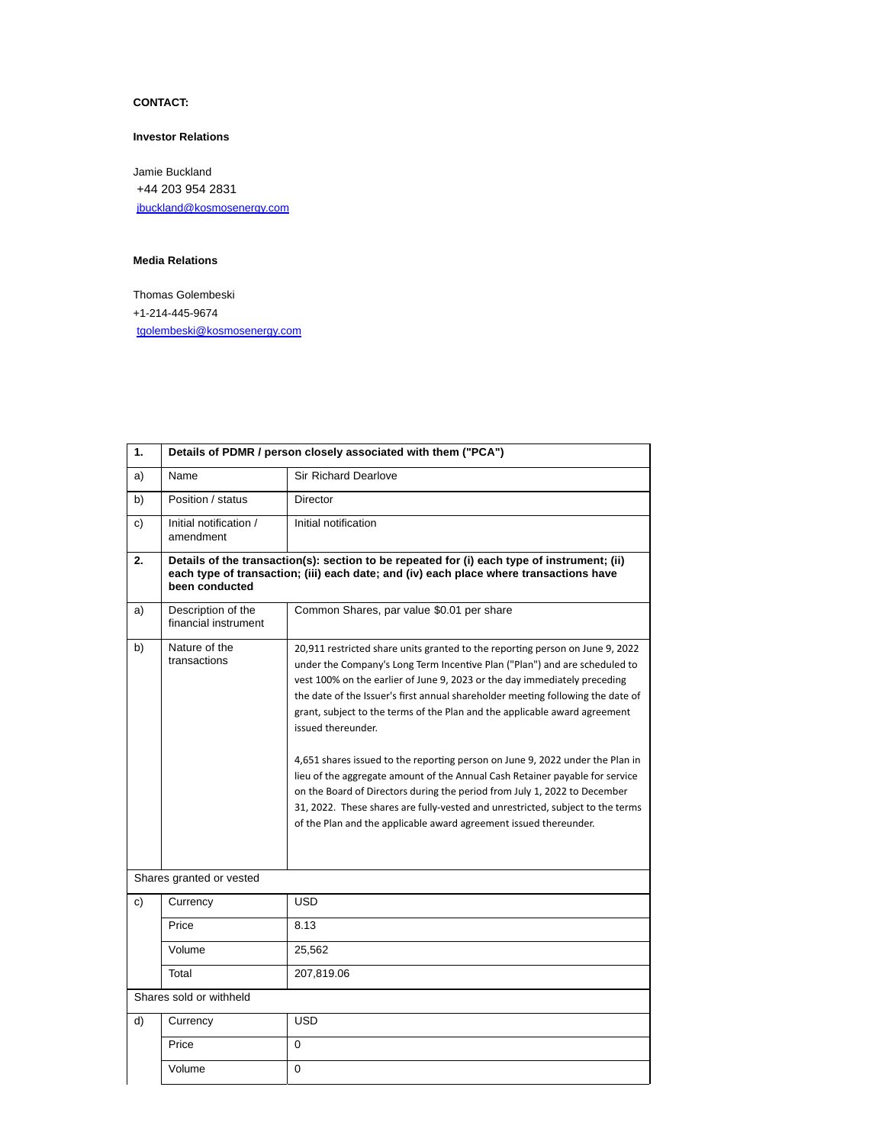# **CONTACT:**

#### **Investor Relations**

Jamie Buckland +44 203 954 2831 [jbuckland@kosmosenergy.com](mailto:jbuckland@kosmosenergy.com)

### **Media Relations**

Thomas Golembeski +1-214-445-9674 [tgolembeski@kosmosenergy.com](mailto:tgolembeski@kosmosenergy.com)

| 1. | Details of PDMR / person closely associated with them ("PCA")                                                                                                                                           |                                                                                                                                                                                                                                                                                                                                                                                                                                                                                                                                                                                                                                                                                                                                                                                                                                      |  |
|----|---------------------------------------------------------------------------------------------------------------------------------------------------------------------------------------------------------|--------------------------------------------------------------------------------------------------------------------------------------------------------------------------------------------------------------------------------------------------------------------------------------------------------------------------------------------------------------------------------------------------------------------------------------------------------------------------------------------------------------------------------------------------------------------------------------------------------------------------------------------------------------------------------------------------------------------------------------------------------------------------------------------------------------------------------------|--|
| a) | Name                                                                                                                                                                                                    | <b>Sir Richard Dearlove</b>                                                                                                                                                                                                                                                                                                                                                                                                                                                                                                                                                                                                                                                                                                                                                                                                          |  |
| b) | Position / status                                                                                                                                                                                       | Director                                                                                                                                                                                                                                                                                                                                                                                                                                                                                                                                                                                                                                                                                                                                                                                                                             |  |
| c) | Initial notification /<br>amendment                                                                                                                                                                     | Initial notification                                                                                                                                                                                                                                                                                                                                                                                                                                                                                                                                                                                                                                                                                                                                                                                                                 |  |
| 2. | Details of the transaction(s): section to be repeated for (i) each type of instrument; (ii)<br>each type of transaction; (iii) each date; and (iv) each place where transactions have<br>been conducted |                                                                                                                                                                                                                                                                                                                                                                                                                                                                                                                                                                                                                                                                                                                                                                                                                                      |  |
| a) | Description of the<br>financial instrument                                                                                                                                                              | Common Shares, par value \$0.01 per share                                                                                                                                                                                                                                                                                                                                                                                                                                                                                                                                                                                                                                                                                                                                                                                            |  |
| b) | Nature of the<br>transactions                                                                                                                                                                           | 20,911 restricted share units granted to the reporting person on June 9, 2022<br>under the Company's Long Term Incentive Plan ("Plan") and are scheduled to<br>vest 100% on the earlier of June 9, 2023 or the day immediately preceding<br>the date of the Issuer's first annual shareholder meeting following the date of<br>grant, subject to the terms of the Plan and the applicable award agreement<br>issued thereunder.<br>4,651 shares issued to the reporting person on June 9, 2022 under the Plan in<br>lieu of the aggregate amount of the Annual Cash Retainer payable for service<br>on the Board of Directors during the period from July 1, 2022 to December<br>31, 2022. These shares are fully-vested and unrestricted, subject to the terms<br>of the Plan and the applicable award agreement issued thereunder. |  |
|    | Shares granted or vested                                                                                                                                                                                |                                                                                                                                                                                                                                                                                                                                                                                                                                                                                                                                                                                                                                                                                                                                                                                                                                      |  |
| c) | Currency                                                                                                                                                                                                | USD                                                                                                                                                                                                                                                                                                                                                                                                                                                                                                                                                                                                                                                                                                                                                                                                                                  |  |
|    | Price                                                                                                                                                                                                   | 8.13                                                                                                                                                                                                                                                                                                                                                                                                                                                                                                                                                                                                                                                                                                                                                                                                                                 |  |
|    | Volume                                                                                                                                                                                                  | 25,562                                                                                                                                                                                                                                                                                                                                                                                                                                                                                                                                                                                                                                                                                                                                                                                                                               |  |
|    | Total                                                                                                                                                                                                   | 207,819.06                                                                                                                                                                                                                                                                                                                                                                                                                                                                                                                                                                                                                                                                                                                                                                                                                           |  |
|    | Shares sold or withheld                                                                                                                                                                                 |                                                                                                                                                                                                                                                                                                                                                                                                                                                                                                                                                                                                                                                                                                                                                                                                                                      |  |
| d) | Currency                                                                                                                                                                                                | <b>USD</b>                                                                                                                                                                                                                                                                                                                                                                                                                                                                                                                                                                                                                                                                                                                                                                                                                           |  |
|    | Price                                                                                                                                                                                                   | $\Omega$                                                                                                                                                                                                                                                                                                                                                                                                                                                                                                                                                                                                                                                                                                                                                                                                                             |  |
|    | Volume                                                                                                                                                                                                  | 0                                                                                                                                                                                                                                                                                                                                                                                                                                                                                                                                                                                                                                                                                                                                                                                                                                    |  |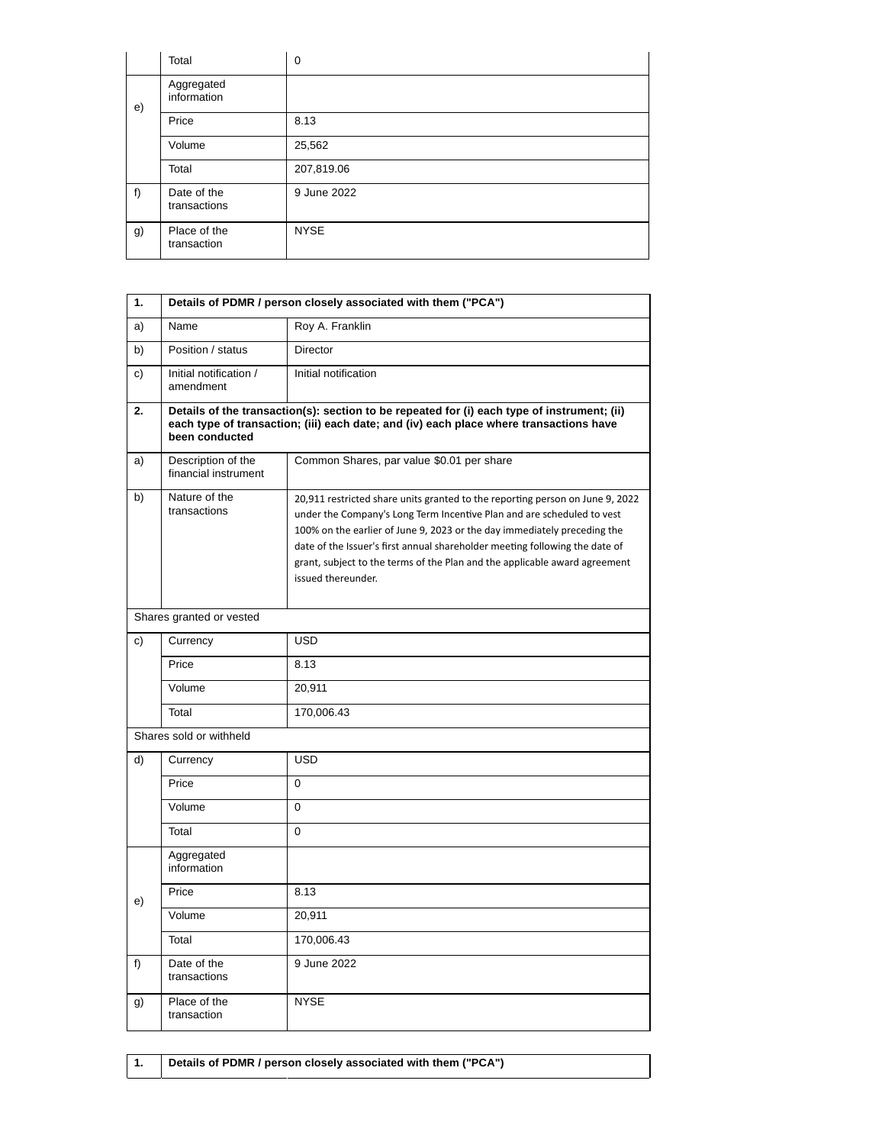|    | Total                       | $\mathbf 0$ |
|----|-----------------------------|-------------|
| e) | Aggregated<br>information   |             |
|    | Price                       | 8.13        |
|    | Volume                      | 25,562      |
|    | Total                       | 207,819.06  |
| f) | Date of the<br>transactions | 9 June 2022 |
| g) | Place of the<br>transaction | <b>NYSE</b> |

| 1. | Details of PDMR / person closely associated with them ("PCA")                                                                                                                                           |                                                                                                                                                                                                                                                                                                                                                                                                                        |  |
|----|---------------------------------------------------------------------------------------------------------------------------------------------------------------------------------------------------------|------------------------------------------------------------------------------------------------------------------------------------------------------------------------------------------------------------------------------------------------------------------------------------------------------------------------------------------------------------------------------------------------------------------------|--|
| a) | Name                                                                                                                                                                                                    | Roy A. Franklin                                                                                                                                                                                                                                                                                                                                                                                                        |  |
| b) | Position / status                                                                                                                                                                                       | <b>Director</b>                                                                                                                                                                                                                                                                                                                                                                                                        |  |
| c) | Initial notification /<br>amendment                                                                                                                                                                     | Initial notification                                                                                                                                                                                                                                                                                                                                                                                                   |  |
| 2. | Details of the transaction(s): section to be repeated for (i) each type of instrument; (ii)<br>each type of transaction; (iii) each date; and (iv) each place where transactions have<br>been conducted |                                                                                                                                                                                                                                                                                                                                                                                                                        |  |
| a) | Description of the<br>financial instrument                                                                                                                                                              | Common Shares, par value \$0.01 per share                                                                                                                                                                                                                                                                                                                                                                              |  |
| b) | Nature of the<br>transactions                                                                                                                                                                           | 20,911 restricted share units granted to the reporting person on June 9, 2022<br>under the Company's Long Term Incentive Plan and are scheduled to vest<br>100% on the earlier of June 9, 2023 or the day immediately preceding the<br>date of the Issuer's first annual shareholder meeting following the date of<br>grant, subject to the terms of the Plan and the applicable award agreement<br>issued thereunder. |  |
|    | Shares granted or vested                                                                                                                                                                                |                                                                                                                                                                                                                                                                                                                                                                                                                        |  |
| c) | Currency                                                                                                                                                                                                | <b>USD</b>                                                                                                                                                                                                                                                                                                                                                                                                             |  |
|    | Price                                                                                                                                                                                                   | 8.13                                                                                                                                                                                                                                                                                                                                                                                                                   |  |
|    | Volume                                                                                                                                                                                                  | 20,911                                                                                                                                                                                                                                                                                                                                                                                                                 |  |
|    | Total                                                                                                                                                                                                   | 170,006.43                                                                                                                                                                                                                                                                                                                                                                                                             |  |
|    | Shares sold or withheld                                                                                                                                                                                 |                                                                                                                                                                                                                                                                                                                                                                                                                        |  |
| d) | Currency                                                                                                                                                                                                | <b>USD</b>                                                                                                                                                                                                                                                                                                                                                                                                             |  |
|    | Price                                                                                                                                                                                                   | $\mathbf 0$                                                                                                                                                                                                                                                                                                                                                                                                            |  |
|    | Volume                                                                                                                                                                                                  | $\mathbf 0$                                                                                                                                                                                                                                                                                                                                                                                                            |  |
|    | Total                                                                                                                                                                                                   | $\mathbf 0$                                                                                                                                                                                                                                                                                                                                                                                                            |  |
|    | Aggregated<br>information                                                                                                                                                                               |                                                                                                                                                                                                                                                                                                                                                                                                                        |  |
| e) | Price                                                                                                                                                                                                   | 8.13                                                                                                                                                                                                                                                                                                                                                                                                                   |  |
|    | Volume                                                                                                                                                                                                  | 20,911                                                                                                                                                                                                                                                                                                                                                                                                                 |  |
|    | Total                                                                                                                                                                                                   | 170,006.43                                                                                                                                                                                                                                                                                                                                                                                                             |  |
| f) | Date of the<br>transactions                                                                                                                                                                             | 9 June 2022                                                                                                                                                                                                                                                                                                                                                                                                            |  |
| g) | Place of the<br>transaction                                                                                                                                                                             | <b>NYSE</b>                                                                                                                                                                                                                                                                                                                                                                                                            |  |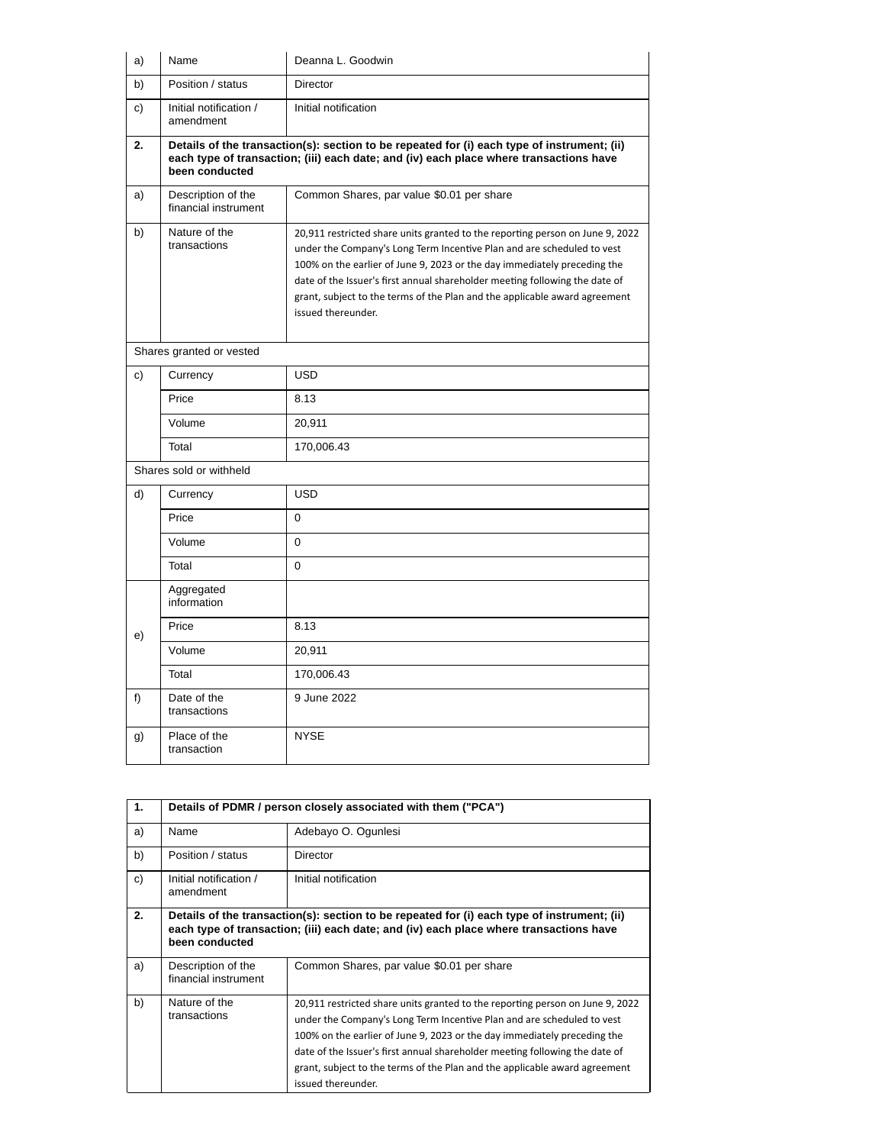| a) | Name                                       | Deanna L. Goodwin                                                                                                                                                                                                                                                                                                                                                                                                      |  |
|----|--------------------------------------------|------------------------------------------------------------------------------------------------------------------------------------------------------------------------------------------------------------------------------------------------------------------------------------------------------------------------------------------------------------------------------------------------------------------------|--|
| b) | Position / status                          | <b>Director</b>                                                                                                                                                                                                                                                                                                                                                                                                        |  |
| c) | Initial notification /<br>amendment        | Initial notification                                                                                                                                                                                                                                                                                                                                                                                                   |  |
| 2. | been conducted                             | Details of the transaction(s): section to be repeated for (i) each type of instrument; (ii)<br>each type of transaction; (iii) each date; and (iv) each place where transactions have                                                                                                                                                                                                                                  |  |
| a) | Description of the<br>financial instrument | Common Shares, par value \$0.01 per share                                                                                                                                                                                                                                                                                                                                                                              |  |
| b) | Nature of the<br>transactions              | 20,911 restricted share units granted to the reporting person on June 9, 2022<br>under the Company's Long Term Incentive Plan and are scheduled to vest<br>100% on the earlier of June 9, 2023 or the day immediately preceding the<br>date of the Issuer's first annual shareholder meeting following the date of<br>grant, subject to the terms of the Plan and the applicable award agreement<br>issued thereunder. |  |
|    | Shares granted or vested                   |                                                                                                                                                                                                                                                                                                                                                                                                                        |  |
| c) | Currency                                   | <b>USD</b>                                                                                                                                                                                                                                                                                                                                                                                                             |  |
|    | Price                                      | 8.13                                                                                                                                                                                                                                                                                                                                                                                                                   |  |
|    | Volume                                     | 20,911                                                                                                                                                                                                                                                                                                                                                                                                                 |  |
|    | Total                                      | 170,006.43                                                                                                                                                                                                                                                                                                                                                                                                             |  |
|    | Shares sold or withheld                    |                                                                                                                                                                                                                                                                                                                                                                                                                        |  |
| d) | Currency                                   | <b>USD</b>                                                                                                                                                                                                                                                                                                                                                                                                             |  |
|    | Price                                      | $\Omega$                                                                                                                                                                                                                                                                                                                                                                                                               |  |
|    | Volume                                     | $\Omega$                                                                                                                                                                                                                                                                                                                                                                                                               |  |
|    | Total                                      | 0                                                                                                                                                                                                                                                                                                                                                                                                                      |  |
|    | Aggregated<br>information                  |                                                                                                                                                                                                                                                                                                                                                                                                                        |  |
| e) | Price                                      | 8.13                                                                                                                                                                                                                                                                                                                                                                                                                   |  |
|    | Volume                                     | 20,911                                                                                                                                                                                                                                                                                                                                                                                                                 |  |
|    | Total                                      | 170,006.43                                                                                                                                                                                                                                                                                                                                                                                                             |  |
| f) | Date of the<br>transactions                | 9 June 2022                                                                                                                                                                                                                                                                                                                                                                                                            |  |
| g) | Place of the<br>transaction                | <b>NYSE</b>                                                                                                                                                                                                                                                                                                                                                                                                            |  |

| 1. | Details of PDMR / person closely associated with them ("PCA")                                                                                                                                           |                                                                                                                                                                                                                                                                                                                                                                                                                        |
|----|---------------------------------------------------------------------------------------------------------------------------------------------------------------------------------------------------------|------------------------------------------------------------------------------------------------------------------------------------------------------------------------------------------------------------------------------------------------------------------------------------------------------------------------------------------------------------------------------------------------------------------------|
| a) | Name                                                                                                                                                                                                    | Adebayo O. Ogunlesi                                                                                                                                                                                                                                                                                                                                                                                                    |
| b) | Position / status                                                                                                                                                                                       | Director                                                                                                                                                                                                                                                                                                                                                                                                               |
| c) | Initial notification /<br>amendment                                                                                                                                                                     | Initial notification                                                                                                                                                                                                                                                                                                                                                                                                   |
| 2. | Details of the transaction(s): section to be repeated for (i) each type of instrument; (ii)<br>each type of transaction; (iii) each date; and (iv) each place where transactions have<br>been conducted |                                                                                                                                                                                                                                                                                                                                                                                                                        |
| a) | Description of the<br>financial instrument                                                                                                                                                              | Common Shares, par value \$0.01 per share                                                                                                                                                                                                                                                                                                                                                                              |
| b) | Nature of the<br>transactions                                                                                                                                                                           | 20,911 restricted share units granted to the reporting person on June 9, 2022<br>under the Company's Long Term Incentive Plan and are scheduled to vest<br>100% on the earlier of June 9, 2023 or the day immediately preceding the<br>date of the Issuer's first annual shareholder meeting following the date of<br>grant, subject to the terms of the Plan and the applicable award agreement<br>issued thereunder. |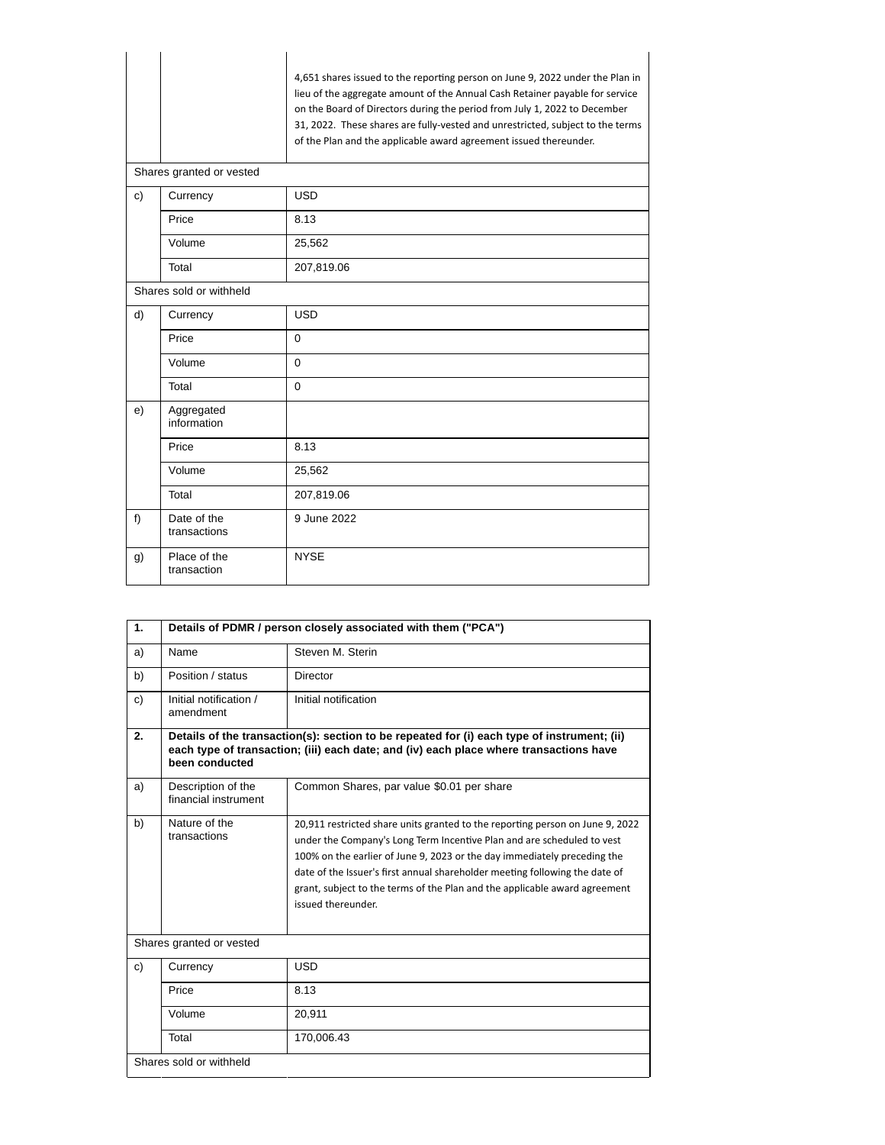|    |                                      | 4,651 shares issued to the reporting person on June 9, 2022 under the Plan in<br>lieu of the aggregate amount of the Annual Cash Retainer payable for service<br>on the Board of Directors during the period from July 1, 2022 to December<br>31, 2022. These shares are fully-vested and unrestricted, subject to the terms<br>of the Plan and the applicable award agreement issued thereunder. |
|----|--------------------------------------|---------------------------------------------------------------------------------------------------------------------------------------------------------------------------------------------------------------------------------------------------------------------------------------------------------------------------------------------------------------------------------------------------|
| c) | Shares granted or vested<br>Currency | <b>USD</b>                                                                                                                                                                                                                                                                                                                                                                                        |
|    |                                      |                                                                                                                                                                                                                                                                                                                                                                                                   |
|    | Price                                | 8.13                                                                                                                                                                                                                                                                                                                                                                                              |
|    | Volume                               | 25,562                                                                                                                                                                                                                                                                                                                                                                                            |
|    | Total                                | 207,819.06                                                                                                                                                                                                                                                                                                                                                                                        |
|    | Shares sold or withheld              |                                                                                                                                                                                                                                                                                                                                                                                                   |
| d) | Currency                             | <b>USD</b>                                                                                                                                                                                                                                                                                                                                                                                        |
|    | Price                                | $\Omega$                                                                                                                                                                                                                                                                                                                                                                                          |
|    | Volume                               | $\Omega$                                                                                                                                                                                                                                                                                                                                                                                          |
|    | Total                                | $\Omega$                                                                                                                                                                                                                                                                                                                                                                                          |
| e) | Aggregated<br>information            |                                                                                                                                                                                                                                                                                                                                                                                                   |
|    | Price                                | 8.13                                                                                                                                                                                                                                                                                                                                                                                              |
|    | Volume                               | 25,562                                                                                                                                                                                                                                                                                                                                                                                            |
|    | Total                                | 207,819.06                                                                                                                                                                                                                                                                                                                                                                                        |
| f) | Date of the<br>transactions          | 9 June 2022                                                                                                                                                                                                                                                                                                                                                                                       |
| g) | Place of the<br>transaction          | <b>NYSE</b>                                                                                                                                                                                                                                                                                                                                                                                       |

| 1. | Details of PDMR / person closely associated with them ("PCA")                                                                                                                                           |                                                                                                                                                                                                                                                                                                                                                                                                                        |  |
|----|---------------------------------------------------------------------------------------------------------------------------------------------------------------------------------------------------------|------------------------------------------------------------------------------------------------------------------------------------------------------------------------------------------------------------------------------------------------------------------------------------------------------------------------------------------------------------------------------------------------------------------------|--|
| a) | Name                                                                                                                                                                                                    | Steven M. Sterin                                                                                                                                                                                                                                                                                                                                                                                                       |  |
| b) | Position / status                                                                                                                                                                                       | Director                                                                                                                                                                                                                                                                                                                                                                                                               |  |
| c) | Initial notification /<br>amendment                                                                                                                                                                     | Initial notification                                                                                                                                                                                                                                                                                                                                                                                                   |  |
| 2. | Details of the transaction(s): section to be repeated for (i) each type of instrument; (ii)<br>each type of transaction; (iii) each date; and (iv) each place where transactions have<br>been conducted |                                                                                                                                                                                                                                                                                                                                                                                                                        |  |
| a) | Description of the<br>financial instrument                                                                                                                                                              | Common Shares, par value \$0.01 per share                                                                                                                                                                                                                                                                                                                                                                              |  |
| b) | Nature of the<br>transactions                                                                                                                                                                           | 20,911 restricted share units granted to the reporting person on June 9, 2022<br>under the Company's Long Term Incentive Plan and are scheduled to vest<br>100% on the earlier of June 9, 2023 or the day immediately preceding the<br>date of the Issuer's first annual shareholder meeting following the date of<br>grant, subject to the terms of the Plan and the applicable award agreement<br>issued thereunder. |  |
|    | Shares granted or vested                                                                                                                                                                                |                                                                                                                                                                                                                                                                                                                                                                                                                        |  |
| c) | Currency                                                                                                                                                                                                | <b>USD</b>                                                                                                                                                                                                                                                                                                                                                                                                             |  |
|    | Price                                                                                                                                                                                                   | 8.13                                                                                                                                                                                                                                                                                                                                                                                                                   |  |
|    | Volume                                                                                                                                                                                                  | 20,911                                                                                                                                                                                                                                                                                                                                                                                                                 |  |
|    | Total                                                                                                                                                                                                   | 170,006.43                                                                                                                                                                                                                                                                                                                                                                                                             |  |
|    | Shares sold or withheld                                                                                                                                                                                 |                                                                                                                                                                                                                                                                                                                                                                                                                        |  |